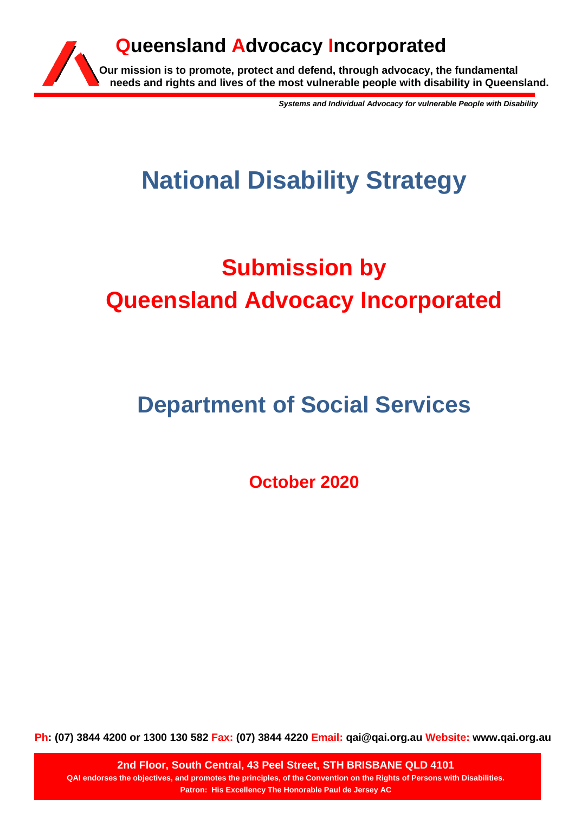

*Systems and Individual Advocacy for vulnerable People with Disability*

# **National Disability Strategy**

# **Submission by Queensland Advocacy Incorporated**

# **Department of Social Services**

**October 2020**

**Ph: (07) 3844 4200 or 1300 130 582 Fax: (07) 3844 4220 Email: qai@qai.org.au Website: www.qai.org.au**

**2nd Floor, South Central, 43 Peel Street, STH BRISBANE QLD 4101 QAI endorses the objectives, and promotes the principles, of the Convention on the Rights of Persons with Disabilities. Patron: His Excellency The Honorable Paul de Jersey AC**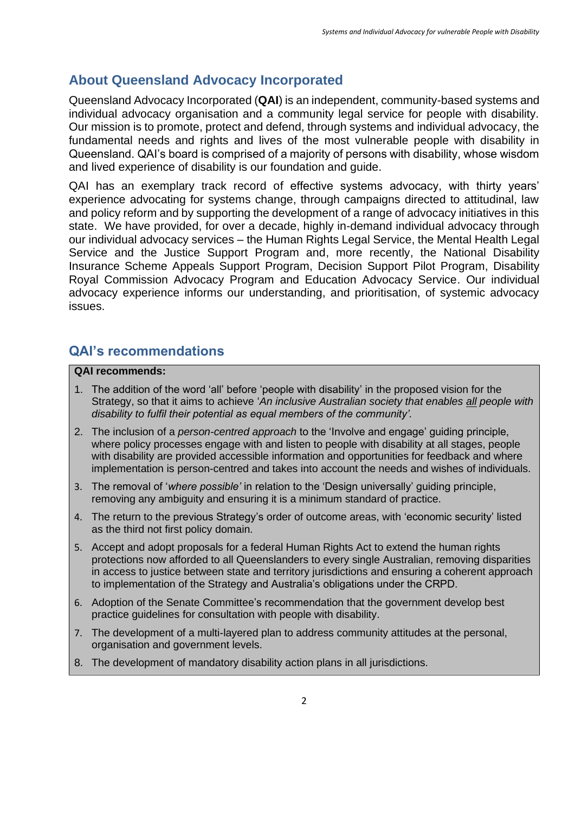## **About Queensland Advocacy Incorporated**

Queensland Advocacy Incorporated (**QAI**) is an independent, community-based systems and individual advocacy organisation and a community legal service for people with disability. Our mission is to promote, protect and defend, through systems and individual advocacy, the fundamental needs and rights and lives of the most vulnerable people with disability in Queensland. QAI's board is comprised of a majority of persons with disability, whose wisdom and lived experience of disability is our foundation and guide.

QAI has an exemplary track record of effective systems advocacy, with thirty years' experience advocating for systems change, through campaigns directed to attitudinal, law and policy reform and by supporting the development of a range of advocacy initiatives in this state. We have provided, for over a decade, highly in-demand individual advocacy through our individual advocacy services – the Human Rights Legal Service, the Mental Health Legal Service and the Justice Support Program and, more recently, the National Disability Insurance Scheme Appeals Support Program, Decision Support Pilot Program, Disability Royal Commission Advocacy Program and Education Advocacy Service. Our individual advocacy experience informs our understanding, and prioritisation, of systemic advocacy issues.

## **QAI's recommendations**

#### **QAI recommends:**

- 1. The addition of the word 'all' before 'people with disability' in the proposed vision for the Strategy, so that it aims to achieve '*An inclusive Australian society that enables all people with disability to fulfil their potential as equal members of the community'.*
- 2. The inclusion of a *person-centred approach* to the 'Involve and engage' guiding principle, where policy processes engage with and listen to people with disability at all stages, people with disability are provided accessible information and opportunities for feedback and where implementation is person-centred and takes into account the needs and wishes of individuals.
- 3. The removal of '*where possible'* in relation to the 'Design universally' guiding principle, removing any ambiguity and ensuring it is a minimum standard of practice.
- 4. The return to the previous Strategy's order of outcome areas, with 'economic security' listed as the third not first policy domain.
- 5. Accept and adopt proposals for a federal Human Rights Act to extend the human rights protections now afforded to all Queenslanders to every single Australian, removing disparities in access to justice between state and territory jurisdictions and ensuring a coherent approach to implementation of the Strategy and Australia's obligations under the CRPD.
- 6. Adoption of the Senate Committee's recommendation that the government develop best practice guidelines for consultation with people with disability.
- 7. The development of a multi-layered plan to address community attitudes at the personal, organisation and government levels.
- 8. The development of mandatory disability action plans in all jurisdictions.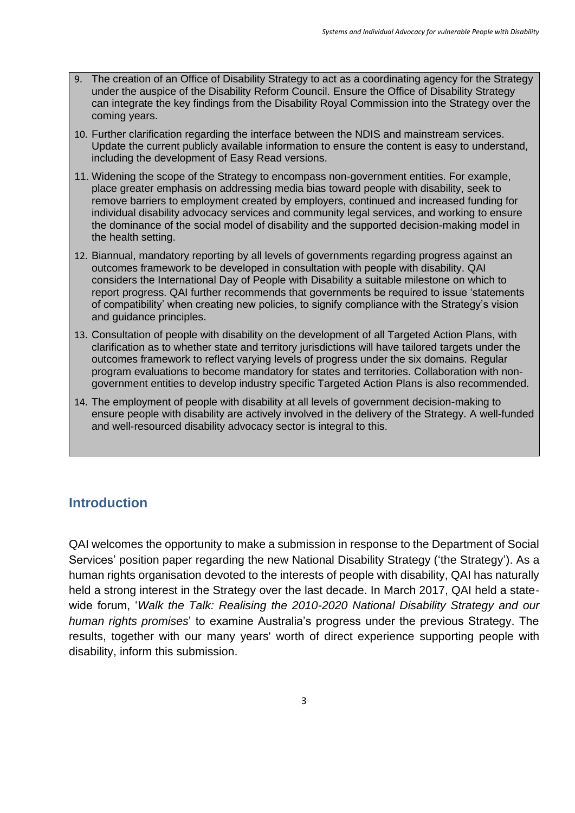- 9. The creation of an Office of Disability Strategy to act as a coordinating agency for the Strategy under the auspice of the Disability Reform Council. Ensure the Office of Disability Strategy can integrate the key findings from the Disability Royal Commission into the Strategy over the coming years.
- 10. Further clarification regarding the interface between the NDIS and mainstream services. Update the current publicly available information to ensure the content is easy to understand, including the development of Easy Read versions.
- 11. Widening the scope of the Strategy to encompass non-government entities. For example, place greater emphasis on addressing media bias toward people with disability, seek to remove barriers to employment created by employers, continued and increased funding for individual disability advocacy services and community legal services, and working to ensure the dominance of the social model of disability and the supported decision-making model in the health setting.
- 12. Biannual, mandatory reporting by all levels of governments regarding progress against an outcomes framework to be developed in consultation with people with disability. QAI considers the International Day of People with Disability a suitable milestone on which to report progress. QAI further recommends that governments be required to issue 'statements of compatibility' when creating new policies, to signify compliance with the Strategy's vision and guidance principles.
- 13. Consultation of people with disability on the development of all Targeted Action Plans, with clarification as to whether state and territory jurisdictions will have tailored targets under the outcomes framework to reflect varying levels of progress under the six domains. Regular program evaluations to become mandatory for states and territories. Collaboration with nongovernment entities to develop industry specific Targeted Action Plans is also recommended.
- 14. The employment of people with disability at all levels of government decision-making to ensure people with disability are actively involved in the delivery of the Strategy. A well-funded and well-resourced disability advocacy sector is integral to this.

## **Introduction**

QAI welcomes the opportunity to make a submission in response to the Department of Social Services' position paper regarding the new National Disability Strategy ('the Strategy'). As a human rights organisation devoted to the interests of people with disability, QAI has naturally held a strong interest in the Strategy over the last decade. In March 2017, QAI held a statewide forum, '*Walk the Talk: Realising the 2010-2020 National Disability Strategy and our human rights promises*' to examine Australia's progress under the previous Strategy. The results, together with our many years' worth of direct experience supporting people with disability, inform this submission.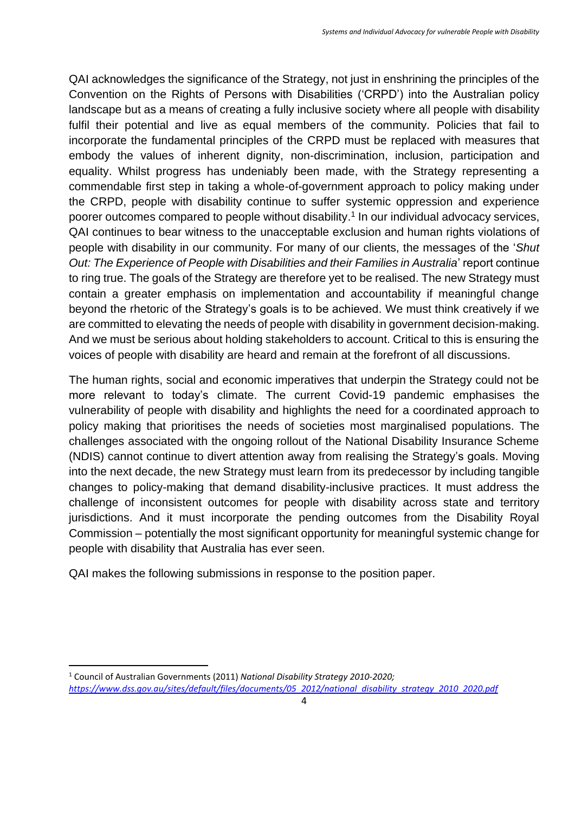QAI acknowledges the significance of the Strategy, not just in enshrining the principles of the Convention on the Rights of Persons with Disabilities ('CRPD') into the Australian policy landscape but as a means of creating a fully inclusive society where all people with disability fulfil their potential and live as equal members of the community. Policies that fail to incorporate the fundamental principles of the CRPD must be replaced with measures that embody the values of inherent dignity, non-discrimination, inclusion, participation and equality. Whilst progress has undeniably been made, with the Strategy representing a commendable first step in taking a whole-of-government approach to policy making under the CRPD, people with disability continue to suffer systemic oppression and experience poorer outcomes compared to people without disability. 1 In our individual advocacy services, QAI continues to bear witness to the unacceptable exclusion and human rights violations of people with disability in our community. For many of our clients, the messages of the '*Shut Out: The Experience of People with Disabilities and their Families in Australia*' report continue to ring true. The goals of the Strategy are therefore yet to be realised. The new Strategy must contain a greater emphasis on implementation and accountability if meaningful change beyond the rhetoric of the Strategy's goals is to be achieved. We must think creatively if we are committed to elevating the needs of people with disability in government decision-making. And we must be serious about holding stakeholders to account. Critical to this is ensuring the voices of people with disability are heard and remain at the forefront of all discussions.

The human rights, social and economic imperatives that underpin the Strategy could not be more relevant to today's climate. The current Covid-19 pandemic emphasises the vulnerability of people with disability and highlights the need for a coordinated approach to policy making that prioritises the needs of societies most marginalised populations. The challenges associated with the ongoing rollout of the National Disability Insurance Scheme (NDIS) cannot continue to divert attention away from realising the Strategy's goals. Moving into the next decade, the new Strategy must learn from its predecessor by including tangible changes to policy-making that demand disability-inclusive practices. It must address the challenge of inconsistent outcomes for people with disability across state and territory jurisdictions. And it must incorporate the pending outcomes from the Disability Royal Commission – potentially the most significant opportunity for meaningful systemic change for people with disability that Australia has ever seen.

QAI makes the following submissions in response to the position paper.

<sup>1</sup> Council of Australian Governments (2011) *National Disability Strategy 2010-2020; [https://www.dss.gov.au/sites/default/files/documents/05\\_2012/national\\_disability\\_strategy\\_2010\\_2020.pdf](https://www.dss.gov.au/sites/default/files/documents/05_2012/national_disability_strategy_2010_2020.pdf)*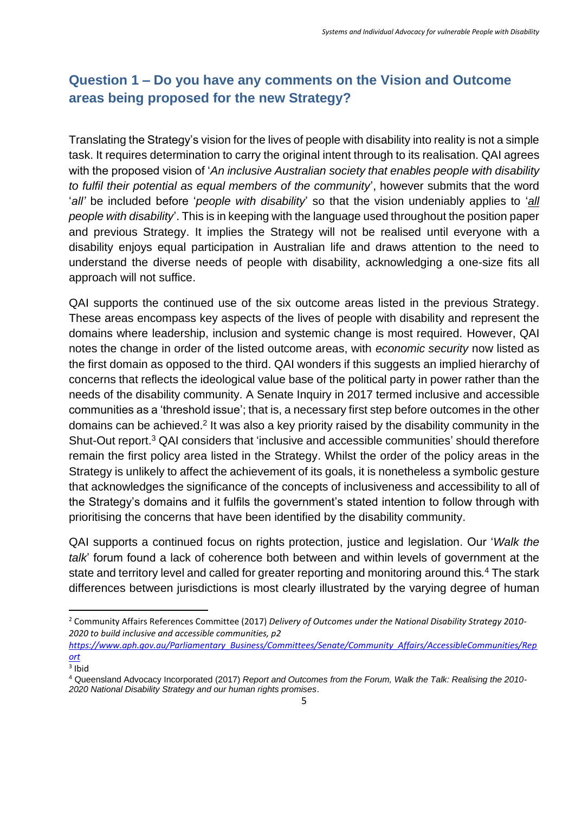# **Question 1 – Do you have any comments on the Vision and Outcome areas being proposed for the new Strategy?**

Translating the Strategy's vision for the lives of people with disability into reality is not a simple task. It requires determination to carry the original intent through to its realisation. QAI agrees with the proposed vision of '*An inclusive Australian society that enables people with disability to fulfil their potential as equal members of the community*', however submits that the word '*all'* be included before '*people with disability*' so that the vision undeniably applies to '*all people with disability*'. This is in keeping with the language used throughout the position paper and previous Strategy. It implies the Strategy will not be realised until everyone with a disability enjoys equal participation in Australian life and draws attention to the need to understand the diverse needs of people with disability, acknowledging a one-size fits all approach will not suffice.

QAI supports the continued use of the six outcome areas listed in the previous Strategy. These areas encompass key aspects of the lives of people with disability and represent the domains where leadership, inclusion and systemic change is most required. However, QAI notes the change in order of the listed outcome areas, with *economic security* now listed as the first domain as opposed to the third. QAI wonders if this suggests an implied hierarchy of concerns that reflects the ideological value base of the political party in power rather than the needs of the disability community. A Senate Inquiry in 2017 termed inclusive and accessible communities as a 'threshold issue'; that is, a necessary first step before outcomes in the other domains can be achieved.<sup>2</sup> It was also a key priority raised by the disability community in the Shut-Out report.<sup>3</sup> QAI considers that 'inclusive and accessible communities' should therefore remain the first policy area listed in the Strategy. Whilst the order of the policy areas in the Strategy is unlikely to affect the achievement of its goals, it is nonetheless a symbolic gesture that acknowledges the significance of the concepts of inclusiveness and accessibility to all of the Strategy's domains and it fulfils the government's stated intention to follow through with prioritising the concerns that have been identified by the disability community.

QAI supports a continued focus on rights protection, justice and legislation. Our '*Walk the talk*' forum found a lack of coherence both between and within levels of government at the state and territory level and called for greater reporting and monitoring around this*.* <sup>4</sup> The stark differences between jurisdictions is most clearly illustrated by the varying degree of human

<sup>2</sup> Community Affairs References Committee (2017) *Delivery of Outcomes under the National Disability Strategy 2010- 2020 to build inclusive and accessible communities, p2* 

*[https://www.aph.gov.au/Parliamentary\\_Business/Committees/Senate/Community\\_Affairs/AccessibleCommunities/Rep](https://www.aph.gov.au/Parliamentary_Business/Committees/Senate/Community_Affairs/AccessibleCommunities/Report) [ort](https://www.aph.gov.au/Parliamentary_Business/Committees/Senate/Community_Affairs/AccessibleCommunities/Report)*

<sup>3</sup> Ibid

<sup>4</sup> Queensland Advocacy Incorporated (2017) *Report and Outcomes from the Forum, Walk the Talk: Realising the 2010- 2020 National Disability Strategy and our human rights promises*.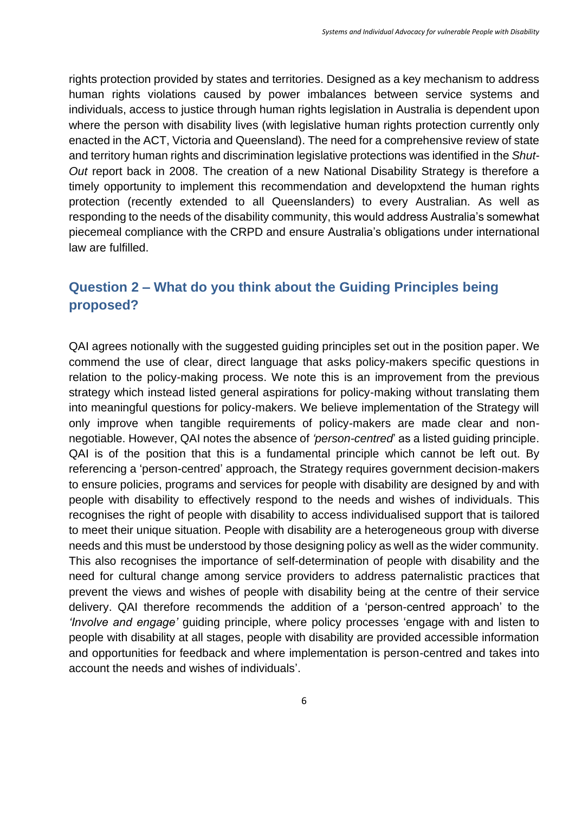rights protection provided by states and territories. Designed as a key mechanism to address human rights violations caused by power imbalances between service systems and individuals, access to justice through human rights legislation in Australia is dependent upon where the person with disability lives (with legislative human rights protection currently only enacted in the ACT, Victoria and Queensland). The need for a comprehensive review of state and territory human rights and discrimination legislative protections was identified in the *Shut-Out* report back in 2008. The creation of a new National Disability Strategy is therefore a timely opportunity to implement this recommendation and developxtend the human rights protection (recently extended to all Queenslanders) to every Australian. As well as responding to the needs of the disability community, this would address Australia's somewhat piecemeal compliance with the CRPD and ensure Australia's obligations under international law are fulfilled.

# **Question 2 – What do you think about the Guiding Principles being proposed?**

QAI agrees notionally with the suggested guiding principles set out in the position paper. We commend the use of clear, direct language that asks policy-makers specific questions in relation to the policy-making process. We note this is an improvement from the previous strategy which instead listed general aspirations for policy-making without translating them into meaningful questions for policy-makers. We believe implementation of the Strategy will only improve when tangible requirements of policy-makers are made clear and nonnegotiable. However, QAI notes the absence of *'person-centred*' as a listed guiding principle. QAI is of the position that this is a fundamental principle which cannot be left out. By referencing a 'person-centred' approach, the Strategy requires government decision-makers to ensure policies, programs and services for people with disability are designed by and with people with disability to effectively respond to the needs and wishes of individuals. This recognises the right of people with disability to access individualised support that is tailored to meet their unique situation. People with disability are a heterogeneous group with diverse needs and this must be understood by those designing policy as well as the wider community. This also recognises the importance of self-determination of people with disability and the need for cultural change among service providers to address paternalistic practices that prevent the views and wishes of people with disability being at the centre of their service delivery. QAI therefore recommends the addition of a 'person-centred approach' to the *'Involve and engage'* guiding principle, where policy processes 'engage with and listen to people with disability at all stages, people with disability are provided accessible information and opportunities for feedback and where implementation is person-centred and takes into account the needs and wishes of individuals'.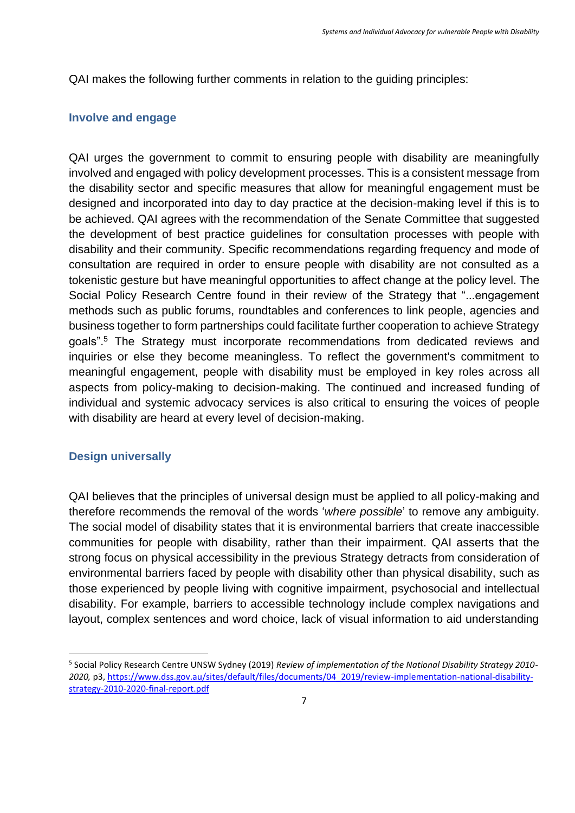QAI makes the following further comments in relation to the guiding principles:

#### **Involve and engage**

QAI urges the government to commit to ensuring people with disability are meaningfully involved and engaged with policy development processes. This is a consistent message from the disability sector and specific measures that allow for meaningful engagement must be designed and incorporated into day to day practice at the decision-making level if this is to be achieved. QAI agrees with the recommendation of the Senate Committee that suggested the development of best practice guidelines for consultation processes with people with disability and their community. Specific recommendations regarding frequency and mode of consultation are required in order to ensure people with disability are not consulted as a tokenistic gesture but have meaningful opportunities to affect change at the policy level. The Social Policy Research Centre found in their review of the Strategy that "...engagement methods such as public forums, roundtables and conferences to link people, agencies and business together to form partnerships could facilitate further cooperation to achieve Strategy goals". <sup>5</sup> The Strategy must incorporate recommendations from dedicated reviews and inquiries or else they become meaningless. To reflect the government's commitment to meaningful engagement, people with disability must be employed in key roles across all aspects from policy-making to decision-making. The continued and increased funding of individual and systemic advocacy services is also critical to ensuring the voices of people with disability are heard at every level of decision-making.

#### **Design universally**

QAI believes that the principles of universal design must be applied to all policy-making and therefore recommends the removal of the words '*where possible*' to remove any ambiguity. The social model of disability states that it is environmental barriers that create inaccessible communities for people with disability, rather than their impairment. QAI asserts that the strong focus on physical accessibility in the previous Strategy detracts from consideration of environmental barriers faced by people with disability other than physical disability, such as those experienced by people living with cognitive impairment, psychosocial and intellectual disability. For example, barriers to accessible technology include complex navigations and layout, complex sentences and word choice, lack of visual information to aid understanding

<sup>5</sup> Social Policy Research Centre UNSW Sydney (2019) *Review of implementation of the National Disability Strategy 2010- 2020,* p3[, https://www.dss.gov.au/sites/default/files/documents/04\\_2019/review-implementation-national-disability](https://www.dss.gov.au/sites/default/files/documents/04_2019/review-implementation-national-disability-strategy-2010-2020-final-report.pdf)[strategy-2010-2020-final-report.pdf](https://www.dss.gov.au/sites/default/files/documents/04_2019/review-implementation-national-disability-strategy-2010-2020-final-report.pdf)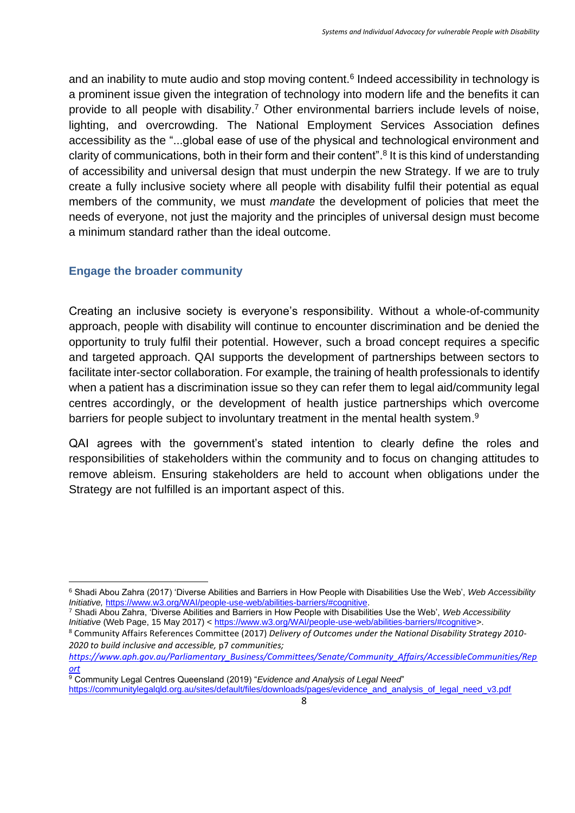and an inability to mute audio and stop moving content.<sup>6</sup> Indeed accessibility in technology is a prominent issue given the integration of technology into modern life and the benefits it can provide to all people with disability.<sup>7</sup> Other environmental barriers include levels of noise, lighting, and overcrowding. The National Employment Services Association defines accessibility as the "...global ease of use of the physical and technological environment and clarity of communications, both in their form and their content".<sup>8</sup> It is this kind of understanding of accessibility and universal design that must underpin the new Strategy. If we are to truly create a fully inclusive society where all people with disability fulfil their potential as equal members of the community, we must *mandate* the development of policies that meet the needs of everyone, not just the majority and the principles of universal design must become a minimum standard rather than the ideal outcome.

### **Engage the broader community**

Creating an inclusive society is everyone's responsibility. Without a whole-of-community approach, people with disability will continue to encounter discrimination and be denied the opportunity to truly fulfil their potential. However, such a broad concept requires a specific and targeted approach. QAI supports the development of partnerships between sectors to facilitate inter-sector collaboration. For example, the training of health professionals to identify when a patient has a discrimination issue so they can refer them to legal aid/community legal centres accordingly, or the development of health justice partnerships which overcome barriers for people subject to involuntary treatment in the mental health system.<sup>9</sup>

QAI agrees with the government's stated intention to clearly define the roles and responsibilities of stakeholders within the community and to focus on changing attitudes to remove ableism. Ensuring stakeholders are held to account when obligations under the Strategy are not fulfilled is an important aspect of this.

[https://communitylegalqld.org.au/sites/default/files/downloads/pages/evidence\\_and\\_analysis\\_of\\_legal\\_need\\_v3.pdf](https://communitylegalqld.org.au/sites/default/files/downloads/pages/evidence_and_analysis_of_legal_need_v3.pdf)

<sup>6</sup> Shadi Abou Zahra (2017) 'Diverse Abilities and Barriers in How People with Disabilities Use the Web', *Web Accessibility Initiative,* [https://www.w3.org/WAI/people-use-web/abilities-barriers/#cognitive.](https://www.w3.org/WAI/people-use-web/abilities-barriers/#cognitive)

<sup>7</sup> Shadi Abou Zahra, 'Diverse Abilities and Barriers in How People with Disabilities Use the Web', *Web Accessibility Initiative* (Web Page, 15 May 2017) < [https://www.w3.org/WAI/people-use-web/abilities-barriers/#cognitive>](https://www.w3.org/WAI/people-use-web/abilities-barriers/#cognitive).

<sup>8</sup> Community Affairs References Committee (2017) *Delivery of Outcomes under the National Disability Strategy 2010- 2020 to build inclusive and accessible,* p7 *communities;* 

*[https://www.aph.gov.au/Parliamentary\\_Business/Committees/Senate/Community\\_Affairs/AccessibleCommunities/Rep](https://www.aph.gov.au/Parliamentary_Business/Committees/Senate/Community_Affairs/AccessibleCommunities/Report) [ort](https://www.aph.gov.au/Parliamentary_Business/Committees/Senate/Community_Affairs/AccessibleCommunities/Report)*

<sup>9</sup> Community Legal Centres Queensland (2019) "*Evidence and Analysis of Legal Need*"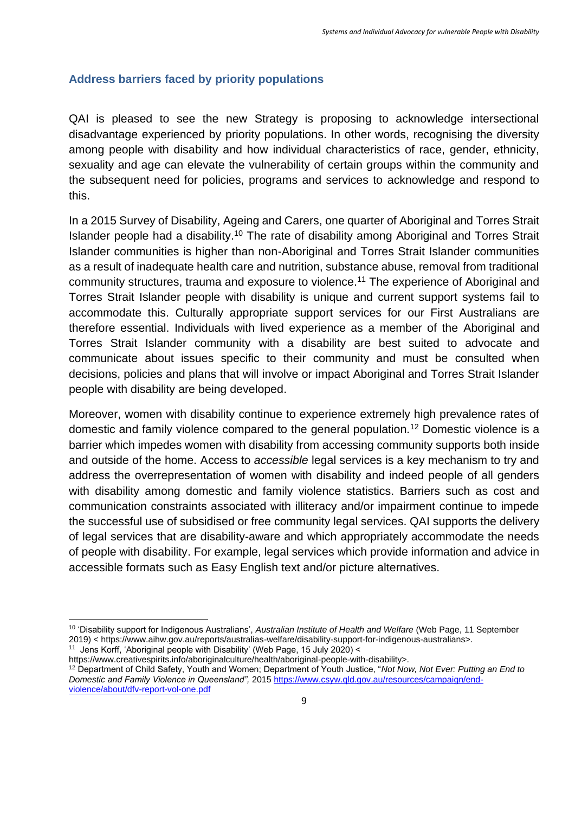### **Address barriers faced by priority populations**

QAI is pleased to see the new Strategy is proposing to acknowledge intersectional disadvantage experienced by priority populations. In other words, recognising the diversity among people with disability and how individual characteristics of race, gender, ethnicity, sexuality and age can elevate the vulnerability of certain groups within the community and the subsequent need for policies, programs and services to acknowledge and respond to this.

In a 2015 Survey of Disability, Ageing and Carers, one quarter of Aboriginal and Torres Strait Islander people had a disability.<sup>10</sup> The rate of disability among Aboriginal and Torres Strait Islander communities is higher than non-Aboriginal and Torres Strait Islander communities as a result of inadequate health care and nutrition, substance abuse, removal from traditional community structures, trauma and exposure to violence.<sup>11</sup> The experience of Aboriginal and Torres Strait Islander people with disability is unique and current support systems fail to accommodate this. Culturally appropriate support services for our First Australians are therefore essential. Individuals with lived experience as a member of the Aboriginal and Torres Strait Islander community with a disability are best suited to advocate and communicate about issues specific to their community and must be consulted when decisions, policies and plans that will involve or impact Aboriginal and Torres Strait Islander people with disability are being developed.

Moreover, women with disability continue to experience extremely high prevalence rates of domestic and family violence compared to the general population*.* <sup>12</sup> Domestic violence is a barrier which impedes women with disability from accessing community supports both inside and outside of the home. Access to *accessible* legal services is a key mechanism to try and address the overrepresentation of women with disability and indeed people of all genders with disability among domestic and family violence statistics. Barriers such as cost and communication constraints associated with illiteracy and/or impairment continue to impede the successful use of subsidised or free community legal services. QAI supports the delivery of legal services that are disability-aware and which appropriately accommodate the needs of people with disability. For example, legal services which provide information and advice in accessible formats such as Easy English text and/or picture alternatives.

https://www.creativespirits.info/aboriginalculture/health/aboriginal-people-with-disability>. <sup>12</sup> Department of Child Safety, Youth and Women; Department of Youth Justice, "*Not Now, Not Ever: Putting an End to Domestic and Family Violence in Queensland",* 201[5 https://www.csyw.qld.gov.au/resources/campaign/end-](https://www.csyw.qld.gov.au/resources/campaign/end-violence/about/dfv-report-vol-one.pdf)

[violence/about/dfv-report-vol-one.pdf](https://www.csyw.qld.gov.au/resources/campaign/end-violence/about/dfv-report-vol-one.pdf)

<sup>10</sup> 'Disability support for Indigenous Australians', *Australian Institute of Health and Welfare* (Web Page, 11 September 2019) < https://www.aihw.gov.au/reports/australias-welfare/disability-support-for-indigenous-australians>.

<sup>&</sup>lt;sup>11</sup> Jens Korff, 'Aboriginal people with Disability' (Web Page, 15 July 2020) <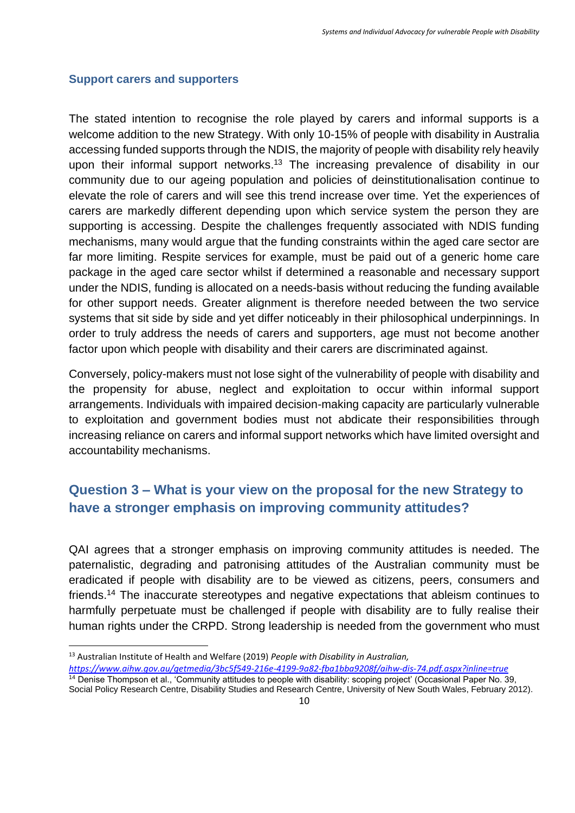#### **Support carers and supporters**

The stated intention to recognise the role played by carers and informal supports is a welcome addition to the new Strategy. With only 10-15% of people with disability in Australia accessing funded supports through the NDIS, the majority of people with disability rely heavily upon their informal support networks.<sup>13</sup> The increasing prevalence of disability in our community due to our ageing population and policies of deinstitutionalisation continue to elevate the role of carers and will see this trend increase over time. Yet the experiences of carers are markedly different depending upon which service system the person they are supporting is accessing. Despite the challenges frequently associated with NDIS funding mechanisms, many would argue that the funding constraints within the aged care sector are far more limiting. Respite services for example, must be paid out of a generic home care package in the aged care sector whilst if determined a reasonable and necessary support under the NDIS, funding is allocated on a needs-basis without reducing the funding available for other support needs. Greater alignment is therefore needed between the two service systems that sit side by side and yet differ noticeably in their philosophical underpinnings. In order to truly address the needs of carers and supporters, age must not become another factor upon which people with disability and their carers are discriminated against.

Conversely, policy-makers must not lose sight of the vulnerability of people with disability and the propensity for abuse, neglect and exploitation to occur within informal support arrangements. Individuals with impaired decision-making capacity are particularly vulnerable to exploitation and government bodies must not abdicate their responsibilities through increasing reliance on carers and informal support networks which have limited oversight and accountability mechanisms.

## **Question 3 – What is your view on the proposal for the new Strategy to have a stronger emphasis on improving community attitudes?**

QAI agrees that a stronger emphasis on improving community attitudes is needed. The paternalistic, degrading and patronising attitudes of the Australian community must be eradicated if people with disability are to be viewed as citizens, peers, consumers and friends.<sup>14</sup> The inaccurate stereotypes and negative expectations that ableism continues to harmfully perpetuate must be challenged if people with disability are to fully realise their human rights under the CRPD. Strong leadership is needed from the government who must

<sup>13</sup> Australian Institute of Health and Welfare (2019) *People with Disability in Australian,* 

*<https://www.aihw.gov.au/getmedia/3bc5f549-216e-4199-9a82-fba1bba9208f/aihw-dis-74.pdf.aspx?inline=true>*

<sup>&</sup>lt;sup>14</sup> Denise Thompson et al., 'Community attitudes to people with disability: scoping project' (Occasional Paper No. 39, Social Policy Research Centre, Disability Studies and Research Centre, University of New South Wales, February 2012).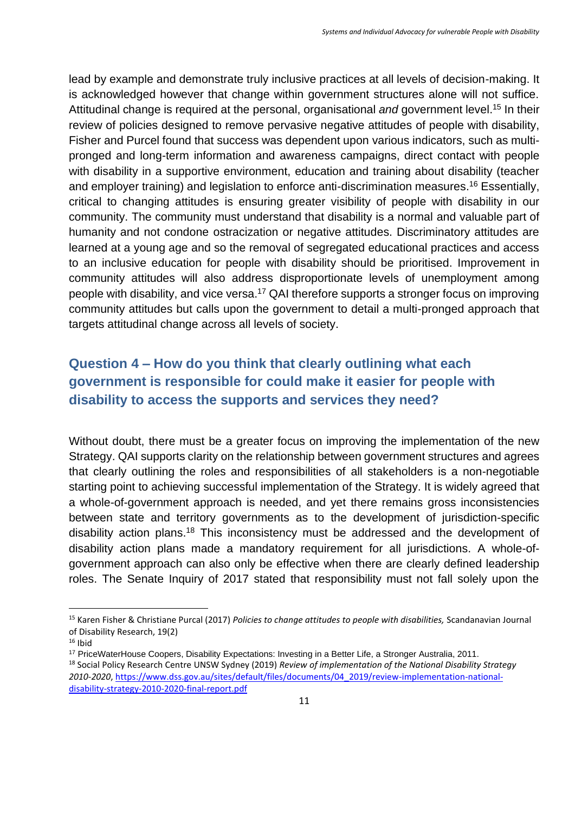lead by example and demonstrate truly inclusive practices at all levels of decision-making. It is acknowledged however that change within government structures alone will not suffice. Attitudinal change is required at the personal, organisational *and* government level. <sup>15</sup> In their review of policies designed to remove pervasive negative attitudes of people with disability, Fisher and Purcel found that success was dependent upon various indicators, such as multipronged and long-term information and awareness campaigns, direct contact with people with disability in a supportive environment, education and training about disability (teacher and employer training) and legislation to enforce anti-discrimination measures. <sup>16</sup> Essentially, critical to changing attitudes is ensuring greater visibility of people with disability in our community. The community must understand that disability is a normal and valuable part of humanity and not condone ostracization or negative attitudes. Discriminatory attitudes are learned at a young age and so the removal of segregated educational practices and access to an inclusive education for people with disability should be prioritised. Improvement in community attitudes will also address disproportionate levels of unemployment among people with disability, and vice versa.<sup>17</sup> QAI therefore supports a stronger focus on improving community attitudes but calls upon the government to detail a multi-pronged approach that targets attitudinal change across all levels of society.

# **Question 4 – How do you think that clearly outlining what each government is responsible for could make it easier for people with disability to access the supports and services they need?**

Without doubt, there must be a greater focus on improving the implementation of the new Strategy. QAI supports clarity on the relationship between government structures and agrees that clearly outlining the roles and responsibilities of all stakeholders is a non-negotiable starting point to achieving successful implementation of the Strategy. It is widely agreed that a whole-of-government approach is needed, and yet there remains gross inconsistencies between state and territory governments as to the development of jurisdiction-specific disability action plans.<sup>18</sup> This inconsistency must be addressed and the development of disability action plans made a mandatory requirement for all jurisdictions. A whole-ofgovernment approach can also only be effective when there are clearly defined leadership roles. The Senate Inquiry of 2017 stated that responsibility must not fall solely upon the

<sup>15</sup> Karen Fisher & Christiane Purcal (2017) *Policies to change attitudes to people with disabilities,* Scandanavian Journal of Disability Research, 19(2)

 $16$  Ibid

<sup>17</sup> PriceWaterHouse Coopers, Disability Expectations: Investing in a Better Life, a Stronger Australia, 2011.

<sup>18</sup> Social Policy Research Centre UNSW Sydney (2019) *Review of implementation of the National Disability Strategy 2010-2020*[, https://www.dss.gov.au/sites/default/files/documents/04\\_2019/review-implementation-national](https://www.dss.gov.au/sites/default/files/documents/04_2019/review-implementation-national-disability-strategy-2010-2020-final-report.pdf)[disability-strategy-2010-2020-final-report.pdf](https://www.dss.gov.au/sites/default/files/documents/04_2019/review-implementation-national-disability-strategy-2010-2020-final-report.pdf)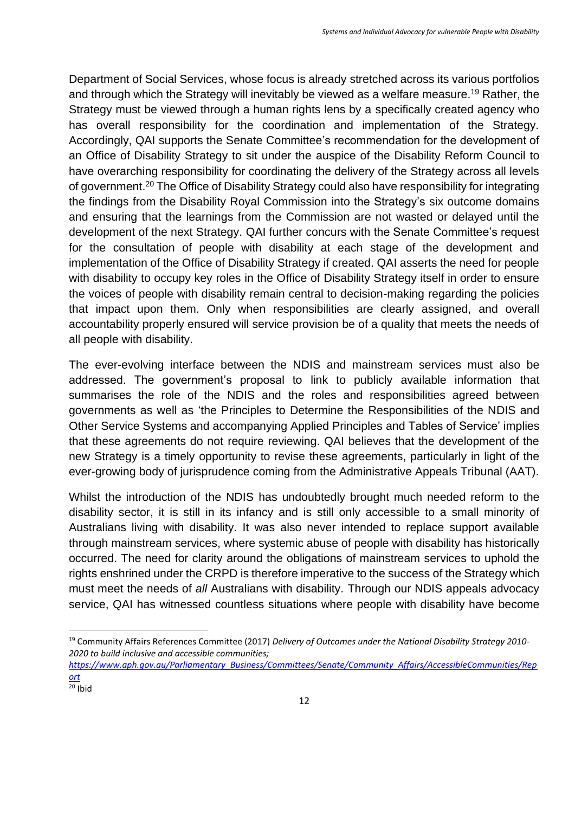Department of Social Services, whose focus is already stretched across its various portfolios and through which the Strategy will inevitably be viewed as a welfare measure.<sup>19</sup> Rather, the Strategy must be viewed through a human rights lens by a specifically created agency who has overall responsibility for the coordination and implementation of the Strategy. Accordingly, QAI supports the Senate Committee's recommendation for the development of an Office of Disability Strategy to sit under the auspice of the Disability Reform Council to have overarching responsibility for coordinating the delivery of the Strategy across all levels of government.<sup>20</sup> The Office of Disability Strategy could also have responsibility for integrating the findings from the Disability Royal Commission into the Strategy's six outcome domains and ensuring that the learnings from the Commission are not wasted or delayed until the development of the next Strategy. QAI further concurs with the Senate Committee's request for the consultation of people with disability at each stage of the development and implementation of the Office of Disability Strategy if created. QAI asserts the need for people with disability to occupy key roles in the Office of Disability Strategy itself in order to ensure the voices of people with disability remain central to decision-making regarding the policies that impact upon them. Only when responsibilities are clearly assigned, and overall accountability properly ensured will service provision be of a quality that meets the needs of all people with disability.

The ever-evolving interface between the NDIS and mainstream services must also be addressed. The government's proposal to link to publicly available information that summarises the role of the NDIS and the roles and responsibilities agreed between governments as well as 'the Principles to Determine the Responsibilities of the NDIS and Other Service Systems and accompanying Applied Principles and Tables of Service' implies that these agreements do not require reviewing. QAI believes that the development of the new Strategy is a timely opportunity to revise these agreements, particularly in light of the ever-growing body of jurisprudence coming from the Administrative Appeals Tribunal (AAT).

Whilst the introduction of the NDIS has undoubtedly brought much needed reform to the disability sector, it is still in its infancy and is still only accessible to a small minority of Australians living with disability. It was also never intended to replace support available through mainstream services, where systemic abuse of people with disability has historically occurred. The need for clarity around the obligations of mainstream services to uphold the rights enshrined under the CRPD is therefore imperative to the success of the Strategy which must meet the needs of *all* Australians with disability. Through our NDIS appeals advocacy service, QAI has witnessed countless situations where people with disability have become

<sup>19</sup> Community Affairs References Committee (2017) *Delivery of Outcomes under the National Disability Strategy 2010- 2020 to build inclusive and accessible communities;* 

*[https://www.aph.gov.au/Parliamentary\\_Business/Committees/Senate/Community\\_Affairs/AccessibleCommunities/Rep](https://www.aph.gov.au/Parliamentary_Business/Committees/Senate/Community_Affairs/AccessibleCommunities/Report) [ort](https://www.aph.gov.au/Parliamentary_Business/Committees/Senate/Community_Affairs/AccessibleCommunities/Report)*

 $20$  Ibid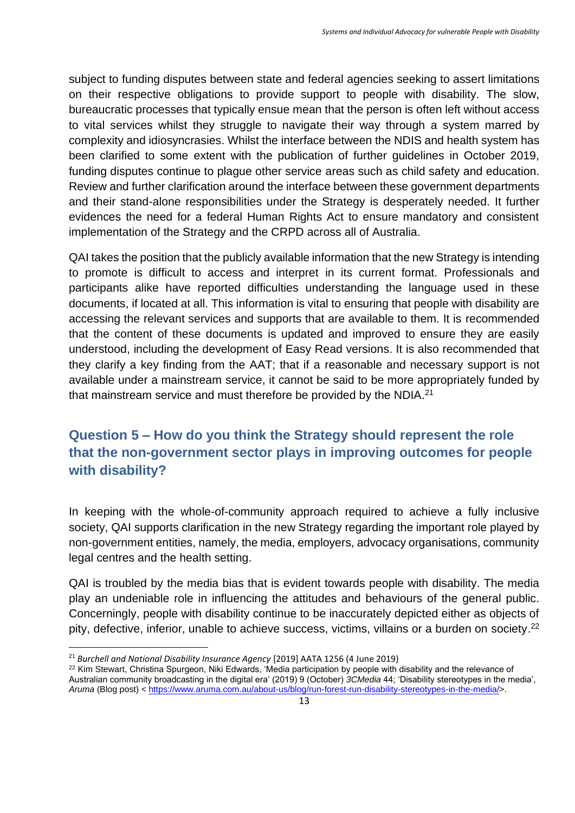subject to funding disputes between state and federal agencies seeking to assert limitations on their respective obligations to provide support to people with disability. The slow, bureaucratic processes that typically ensue mean that the person is often left without access to vital services whilst they struggle to navigate their way through a system marred by complexity and idiosyncrasies. Whilst the interface between the NDIS and health system has been clarified to some extent with the publication of further guidelines in October 2019, funding disputes continue to plague other service areas such as child safety and education. Review and further clarification around the interface between these government departments and their stand-alone responsibilities under the Strategy is desperately needed. It further evidences the need for a federal Human Rights Act to ensure mandatory and consistent implementation of the Strategy and the CRPD across all of Australia.

QAI takes the position that the publicly available information that the new Strategy is intending to promote is difficult to access and interpret in its current format. Professionals and participants alike have reported difficulties understanding the language used in these documents, if located at all. This information is vital to ensuring that people with disability are accessing the relevant services and supports that are available to them. It is recommended that the content of these documents is updated and improved to ensure they are easily understood, including the development of Easy Read versions. It is also recommended that they clarify a key finding from the AAT; that if a reasonable and necessary support is not available under a mainstream service, it cannot be said to be more appropriately funded by that mainstream service and must therefore be provided by the NDIA. $^{21}$ 

# **Question 5 – How do you think the Strategy should represent the role that the non-government sector plays in improving outcomes for people with disability?**

In keeping with the whole-of-community approach required to achieve a fully inclusive society, QAI supports clarification in the new Strategy regarding the important role played by non-government entities, namely, the media, employers, advocacy organisations, community legal centres and the health setting.

QAI is troubled by the media bias that is evident towards people with disability. The media play an undeniable role in influencing the attitudes and behaviours of the general public. Concerningly, people with disability continue to be inaccurately depicted either as objects of pity, defective, inferior, unable to achieve success, victims, villains or a burden on society.<sup>22</sup>

<sup>21</sup> *Burchell and National Disability Insurance Agency* [2019] AATA 1256 (4 June 2019)

<sup>&</sup>lt;sup>22</sup> Kim Stewart, Christina Spurgeon, Niki Edwards, 'Media participation by people with disability and the relevance of Australian community broadcasting in the digital era' (2019) 9 (October) *3CMedia* 44; 'Disability stereotypes in the media', *Aruma* (Blog post) < [https://www.aruma.com.au/about-us/blog/run-forest-run-disability-stereotypes-in-the-media/>](https://www.aruma.com.au/about-us/blog/run-forest-run-disability-stereotypes-in-the-media/).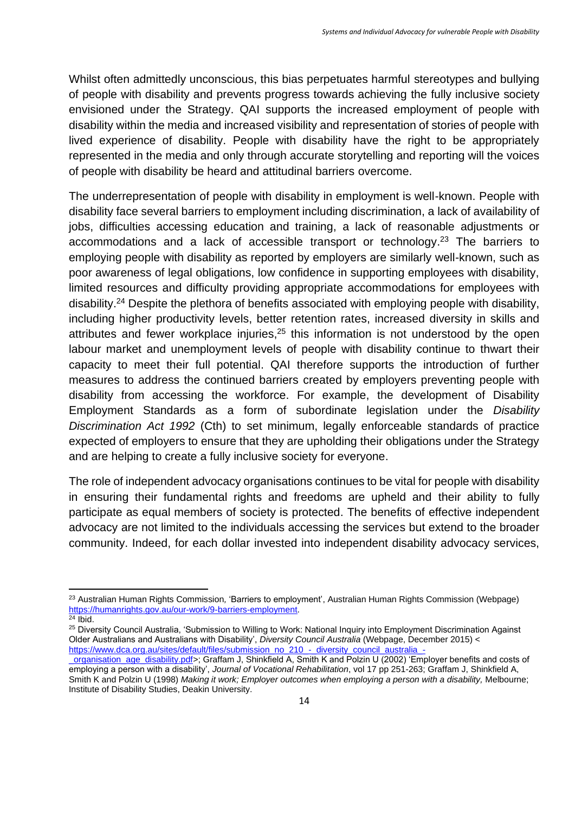Whilst often admittedly unconscious, this bias perpetuates harmful stereotypes and bullying of people with disability and prevents progress towards achieving the fully inclusive society envisioned under the Strategy. QAI supports the increased employment of people with disability within the media and increased visibility and representation of stories of people with lived experience of disability. People with disability have the right to be appropriately represented in the media and only through accurate storytelling and reporting will the voices of people with disability be heard and attitudinal barriers overcome.

The underrepresentation of people with disability in employment is well-known. People with disability face several barriers to employment including discrimination, a lack of availability of jobs, difficulties accessing education and training, a lack of reasonable adjustments or accommodations and a lack of accessible transport or technology.<sup>23</sup> The barriers to employing people with disability as reported by employers are similarly well-known, such as poor awareness of legal obligations, low confidence in supporting employees with disability, limited resources and difficulty providing appropriate accommodations for employees with disability. <sup>24</sup> Despite the plethora of benefits associated with employing people with disability, including higher productivity levels, better retention rates, increased diversity in skills and attributes and fewer workplace injuries,<sup>25</sup> this information is not understood by the open labour market and unemployment levels of people with disability continue to thwart their capacity to meet their full potential. QAI therefore supports the introduction of further measures to address the continued barriers created by employers preventing people with disability from accessing the workforce. For example, the development of Disability Employment Standards as a form of subordinate legislation under the *Disability Discrimination Act 1992* (Cth) to set minimum, legally enforceable standards of practice expected of employers to ensure that they are upholding their obligations under the Strategy and are helping to create a fully inclusive society for everyone.

The role of independent advocacy organisations continues to be vital for people with disability in ensuring their fundamental rights and freedoms are upheld and their ability to fully participate as equal members of society is protected. The benefits of effective independent advocacy are not limited to the individuals accessing the services but extend to the broader community. Indeed, for each dollar invested into independent disability advocacy services,

<sup>23</sup> Australian Human Rights Commission*,* 'Barriers to employment', Australian Human Rights Commission (Webpage) [https://humanrights.gov.au/our-work/9-barriers-employment.](https://humanrights.gov.au/our-work/9-barriers-employment)

 $24$  Ibid.

<sup>&</sup>lt;sup>25</sup> Diversity Council Australia, 'Submission to Willing to Work: National Inquiry into Employment Discrimination Against Older Australians and Australians with Disability', *Diversity Council Australia* (Webpage, December 2015) < [https://www.dca.org.au/sites/default/files/submission\\_no\\_210\\_-\\_diversity\\_council\\_australia\\_-](https://www.dca.org.au/sites/default/files/submission_no_210_-_diversity_council_australia_-_organisation_age_disability.pdf)

[\\_organisation\\_age\\_disability.pdf>](https://www.dca.org.au/sites/default/files/submission_no_210_-_diversity_council_australia_-_organisation_age_disability.pdf); Graffam J, Shinkfield A, Smith K and Polzin U (2002) 'Employer benefits and costs of employing a person with a disability', *Journal of Vocational Rehabilitation*, vol 17 pp 251-263; Graffam J, Shinkfield A, Smith K and Polzin U (1998) *Making it work; Employer outcomes when employing a person with a disability,* Melbourne; Institute of Disability Studies, Deakin University.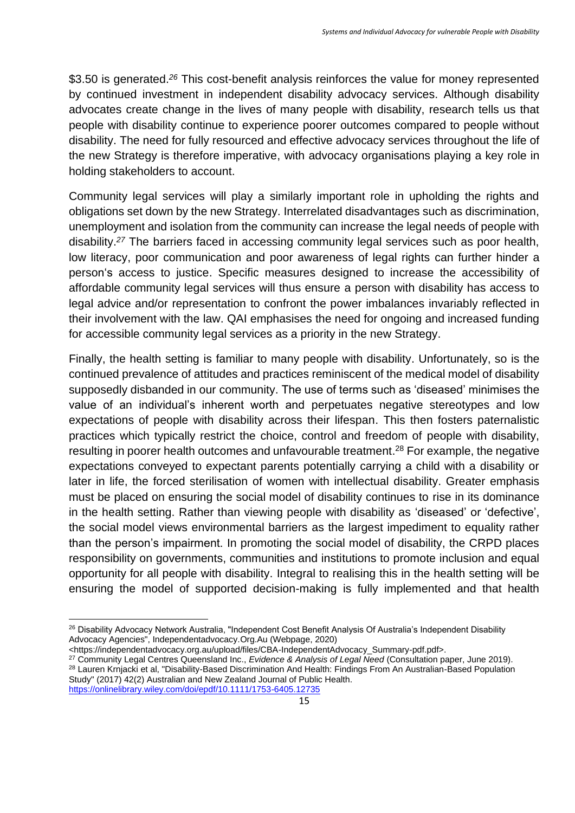\$3.50 is generated. *<sup>26</sup>* This cost-benefit analysis reinforces the value for money represented by continued investment in independent disability advocacy services. Although disability advocates create change in the lives of many people with disability, research tells us that people with disability continue to experience poorer outcomes compared to people without disability. The need for fully resourced and effective advocacy services throughout the life of the new Strategy is therefore imperative, with advocacy organisations playing a key role in holding stakeholders to account.

Community legal services will play a similarly important role in upholding the rights and obligations set down by the new Strategy. Interrelated disadvantages such as discrimination, unemployment and isolation from the community can increase the legal needs of people with disability. *<sup>27</sup>* The barriers faced in accessing community legal services such as poor health, low literacy, poor communication and poor awareness of legal rights can further hinder a person's access to justice. Specific measures designed to increase the accessibility of affordable community legal services will thus ensure a person with disability has access to legal advice and/or representation to confront the power imbalances invariably reflected in their involvement with the law. QAI emphasises the need for ongoing and increased funding for accessible community legal services as a priority in the new Strategy.

Finally, the health setting is familiar to many people with disability. Unfortunately, so is the continued prevalence of attitudes and practices reminiscent of the medical model of disability supposedly disbanded in our community. The use of terms such as 'diseased' minimises the value of an individual's inherent worth and perpetuates negative stereotypes and low expectations of people with disability across their lifespan. This then fosters paternalistic practices which typically restrict the choice, control and freedom of people with disability, resulting in poorer health outcomes and unfavourable treatment.<sup>28</sup> For example, the negative expectations conveyed to expectant parents potentially carrying a child with a disability or later in life, the forced sterilisation of women with intellectual disability. Greater emphasis must be placed on ensuring the social model of disability continues to rise in its dominance in the health setting. Rather than viewing people with disability as 'diseased' or 'defective', the social model views environmental barriers as the largest impediment to equality rather than the person's impairment. In promoting the social model of disability, the CRPD places responsibility on governments, communities and institutions to promote inclusion and equal opportunity for all people with disability. Integral to realising this in the health setting will be ensuring the model of supported decision-making is fully implemented and that health

<sup>&</sup>lt;sup>26</sup> Disability Advocacy Network Australia, "Independent Cost Benefit Analysis Of Australia's Independent Disability Advocacy Agencies", Independentadvocacy.Org.Au (Webpage, 2020)

<sup>&</sup>lt;https://independentadvocacy.org.au/upload/files/CBA-IndependentAdvocacy\_Summary-pdf.pdf>.

<sup>27</sup> Community Legal Centres Queensland Inc., *Evidence & Analysis of Legal Need* (Consultation paper, June 2019). <sup>28</sup> Lauren Krnjacki et al, "Disability-Based Discrimination And Health: Findings From An Australian-Based Population Study" (2017) 42(2) Australian and New Zealand Journal of Public Health. <https://onlinelibrary.wiley.com/doi/epdf/10.1111/1753-6405.12735>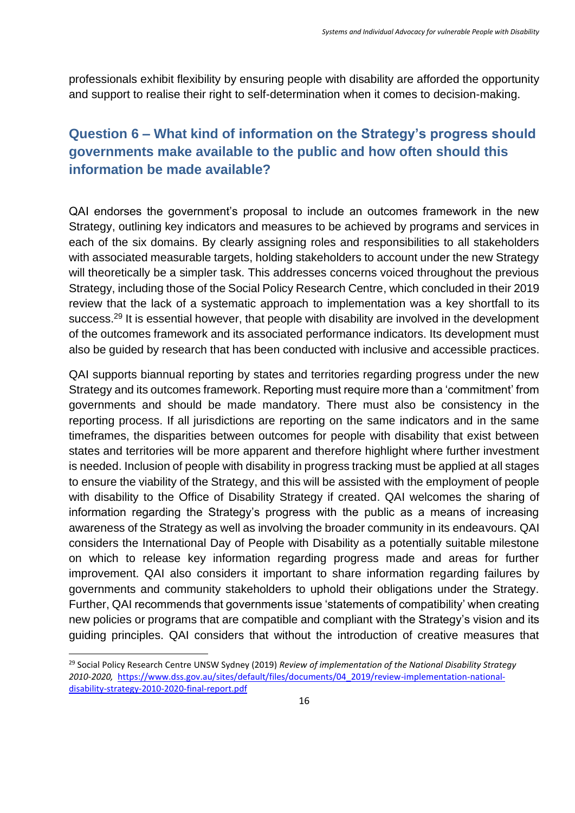professionals exhibit flexibility by ensuring people with disability are afforded the opportunity and support to realise their right to self-determination when it comes to decision-making.

# **Question 6 – What kind of information on the Strategy's progress should governments make available to the public and how often should this information be made available?**

QAI endorses the government's proposal to include an outcomes framework in the new Strategy, outlining key indicators and measures to be achieved by programs and services in each of the six domains. By clearly assigning roles and responsibilities to all stakeholders with associated measurable targets, holding stakeholders to account under the new Strategy will theoretically be a simpler task. This addresses concerns voiced throughout the previous Strategy, including those of the Social Policy Research Centre, which concluded in their 2019 review that the lack of a systematic approach to implementation was a key shortfall to its success.<sup>29</sup> It is essential however, that people with disability are involved in the development of the outcomes framework and its associated performance indicators. Its development must also be guided by research that has been conducted with inclusive and accessible practices.

QAI supports biannual reporting by states and territories regarding progress under the new Strategy and its outcomes framework. Reporting must require more than a 'commitment' from governments and should be made mandatory. There must also be consistency in the reporting process. If all jurisdictions are reporting on the same indicators and in the same timeframes, the disparities between outcomes for people with disability that exist between states and territories will be more apparent and therefore highlight where further investment is needed. Inclusion of people with disability in progress tracking must be applied at all stages to ensure the viability of the Strategy, and this will be assisted with the employment of people with disability to the Office of Disability Strategy if created. QAI welcomes the sharing of information regarding the Strategy's progress with the public as a means of increasing awareness of the Strategy as well as involving the broader community in its endeavours. QAI considers the International Day of People with Disability as a potentially suitable milestone on which to release key information regarding progress made and areas for further improvement. QAI also considers it important to share information regarding failures by governments and community stakeholders to uphold their obligations under the Strategy. Further, QAI recommends that governments issue 'statements of compatibility' when creating new policies or programs that are compatible and compliant with the Strategy's vision and its guiding principles. QAI considers that without the introduction of creative measures that

<sup>29</sup> Social Policy Research Centre UNSW Sydney (2019) *Review of implementation of the National Disability Strategy 2010-2020,* [https://www.dss.gov.au/sites/default/files/documents/04\\_2019/review-implementation-national](https://www.dss.gov.au/sites/default/files/documents/04_2019/review-implementation-national-disability-strategy-2010-2020-final-report.pdf)[disability-strategy-2010-2020-final-report.pdf](https://www.dss.gov.au/sites/default/files/documents/04_2019/review-implementation-national-disability-strategy-2010-2020-final-report.pdf)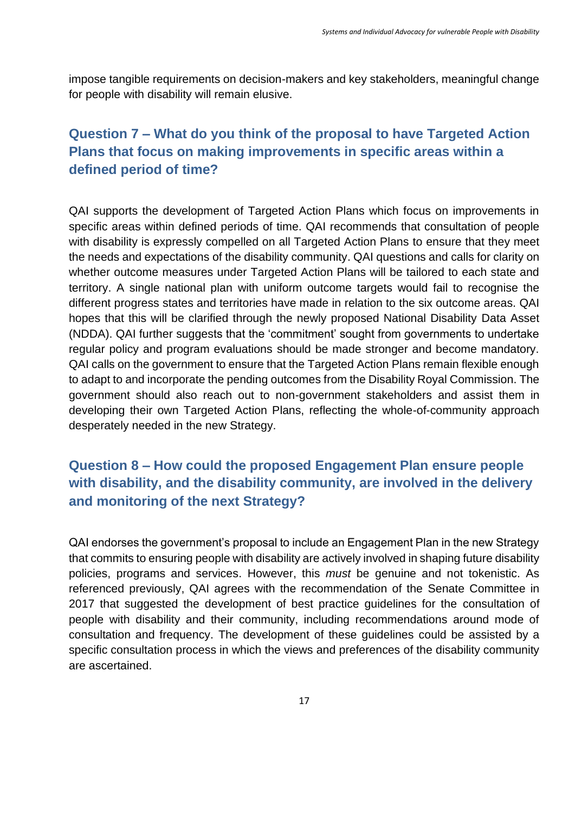impose tangible requirements on decision-makers and key stakeholders, meaningful change for people with disability will remain elusive.

# **Question 7 – What do you think of the proposal to have Targeted Action Plans that focus on making improvements in specific areas within a defined period of time?**

QAI supports the development of Targeted Action Plans which focus on improvements in specific areas within defined periods of time. QAI recommends that consultation of people with disability is expressly compelled on all Targeted Action Plans to ensure that they meet the needs and expectations of the disability community. QAI questions and calls for clarity on whether outcome measures under Targeted Action Plans will be tailored to each state and territory. A single national plan with uniform outcome targets would fail to recognise the different progress states and territories have made in relation to the six outcome areas. QAI hopes that this will be clarified through the newly proposed National Disability Data Asset (NDDA). QAI further suggests that the 'commitment' sought from governments to undertake regular policy and program evaluations should be made stronger and become mandatory. QAI calls on the government to ensure that the Targeted Action Plans remain flexible enough to adapt to and incorporate the pending outcomes from the Disability Royal Commission. The government should also reach out to non-government stakeholders and assist them in developing their own Targeted Action Plans, reflecting the whole-of-community approach desperately needed in the new Strategy.

# **Question 8 – How could the proposed Engagement Plan ensure people with disability, and the disability community, are involved in the delivery and monitoring of the next Strategy?**

QAI endorses the government's proposal to include an Engagement Plan in the new Strategy that commits to ensuring people with disability are actively involved in shaping future disability policies, programs and services. However, this *must* be genuine and not tokenistic. As referenced previously, QAI agrees with the recommendation of the Senate Committee in 2017 that suggested the development of best practice guidelines for the consultation of people with disability and their community, including recommendations around mode of consultation and frequency. The development of these guidelines could be assisted by a specific consultation process in which the views and preferences of the disability community are ascertained.